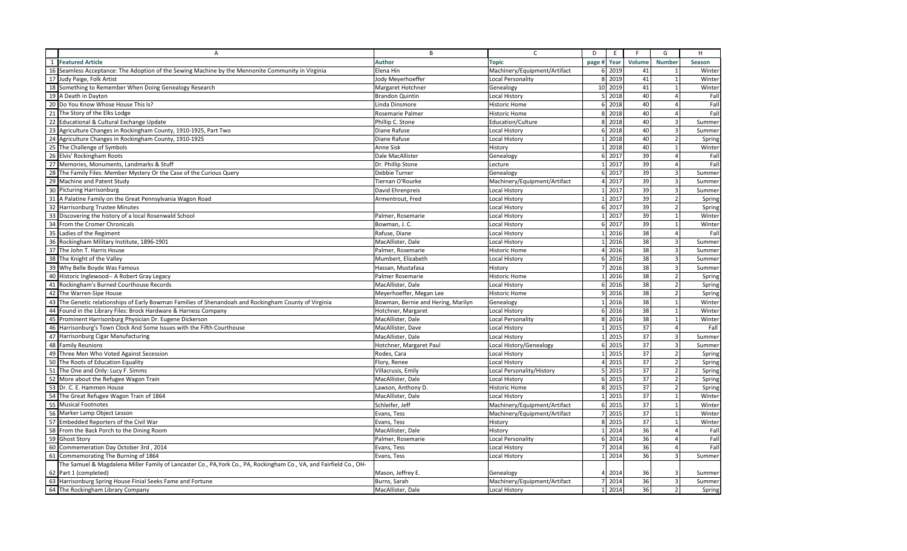|    | A                                                                                                                   | B                                  | $\mathsf{C}$                 | D                    | E<br>F         | G                              | H                        |
|----|---------------------------------------------------------------------------------------------------------------------|------------------------------------|------------------------------|----------------------|----------------|--------------------------------|--------------------------|
|    | 1 Featured Article                                                                                                  | <b>Author</b>                      | <b>Topic</b>                 | page #               | Volume<br>Year | <b>Number</b>                  | Season                   |
|    | 16 Seamless Acceptance: The Adoption of the Sewing Machine by the Mennonite Community in Virginia                   | Elena Hin                          | Machinery/Equipment/Artifact | 6 2019               |                | 41                             | Winter                   |
|    | 17 Judy Paige, Folk Artist                                                                                          | Jody Meyerhoeffer                  | Local Personality            | 8 2019               |                | 41<br>$\overline{\phantom{0}}$ | Winter                   |
|    | 18 Something to Remember When Doing Genealogy Research                                                              | Margaret Hotchner                  | Genealogy                    | 10 2019              |                | 41<br>$\overline{1}$           | Winter                   |
|    | 19 A Death in Dayton                                                                                                | <b>Brandon Quintin</b>             | Local History                | 5 2018               |                | 40<br>4                        | Fal                      |
|    | 20 Do You Know Whose House This Is?                                                                                 | Linda Dinsmore                     | <b>Historic Home</b>         | 6 2018               |                | 40                             | Fall                     |
|    | 21 The Story of the Elks Lodge                                                                                      | Rosemarie Palmer                   | <b>Historic Home</b>         | 8 2018               |                | 40                             | Fall                     |
|    | 22 Educational & Cultural Exchange Update                                                                           | Phillip C. Stone                   | Education/Culture            | 8 2018               |                | 40<br>$\overline{3}$           | Summer                   |
|    | 23 Agriculture Changes in Rockingham County, 1910-1925, Part Two                                                    | Diane Rafuse                       | Local History                | 6 2018               |                | 40<br>$\mathbf{3}$             | Summer                   |
|    | 24 Agriculture Changes in Rockingham County, 1910-1925                                                              | Diane Rafuse                       | Local History                | 1 2018               |                | 40<br>$\overline{2}$           | Spring                   |
|    | 25 The Challenge of Symbols                                                                                         | Anne Sisk                          | History                      | 1 2018               |                | 40<br>$\overline{1}$           | Winter                   |
|    | 26 Elvis' Rockingham Roots                                                                                          | Dale MacAllister                   | Genealogy                    | 6 2017               |                | 39<br>$\Delta$                 | Fal                      |
|    | 27 Memories, Monuments, Landmarks & Stuff                                                                           | Dr. Phillip Stone                  | Lecture                      | 1 2017               |                | 39                             | Fall                     |
|    | 28 The Family Files: Member Mystery Or the Case of the Curious Query                                                | Debbie Turner                      | Genealogy                    | 6 2017               |                | 39<br>$\overline{3}$           | Summer                   |
|    | 29 Machine and Patent Study                                                                                         | Tiernan O'Rourke                   | Machinery/Equipment/Artifact | 4 2017               |                | 39<br>$\overline{3}$           | Summer                   |
|    | 30 Picturing Harrisonburg                                                                                           | David Ehrenpreis                   | <b>Local History</b>         | 2017<br>$\mathbf{1}$ |                | 39<br>3                        | Summer                   |
|    | 31 A Palatine Family on the Great Pennsylvania Wagon Road                                                           | Armentrout, Fred                   | Local History                | 1 2017               |                | 39<br>$\overline{2}$           | Spring                   |
|    | 32 Harrisonburg Trustee Minutes                                                                                     |                                    | Local History                | 6 2017               |                | 39<br>$\overline{2}$           | Spring                   |
|    | 33 Discovering the history of a local Rosenwald School                                                              | Palmer, Rosemarie                  | Local History                | 1 2017               |                | 39<br>$\mathbf{1}$             | Winter                   |
|    | 34 From the Cromer Chronicals                                                                                       | Bowman, J. C.                      | Local History                | 6 2017               |                | 39<br>$\mathbf{1}$             | Winter                   |
|    | 35 Ladies of the Regiment                                                                                           | Rafuse, Diane                      | <b>Local History</b>         | 1 2016               |                | 38<br>Δ                        | Fall                     |
|    | 36 Rockingham Military Institute, 1896-1901                                                                         | MacAllister, Dale                  | Local History                | 1 2016               |                | 38<br>$\overline{3}$           | Summer                   |
|    | 37 The John T. Harris House                                                                                         | Palmer, Rosemarie                  | <b>Historic Home</b>         | 4 2016               |                | 38<br>$\overline{3}$           | Summer                   |
|    | 38 The Knight of the Valley                                                                                         | Mumbert, Elizabeth                 | Local History                | 6 2016               |                | 38<br>$\mathbf{3}$             | Summer                   |
|    | 39 Why Belle Boyde Was Famous                                                                                       | Hassan, Mustafasa                  | History                      | 7 2016               |                | 38<br>3                        | Summer                   |
|    | 40 Historic Inglewood-- A Robert Gray Legacy                                                                        | Palmer Rosemarie                   | <b>Historic Home</b>         | 1 2016               |                | 38<br>$\overline{2}$           | Spring                   |
|    | 41 Rockingham's Burned Courthouse Records                                                                           | MacAllister, Dale                  | Local History                | 6 2016               |                | 38<br>$\overline{2}$           | Spring                   |
|    | 42 The Warren-Sipe House                                                                                            | Meyerhoeffer, Megan Lee            | Historic Home                | 9 2016               |                | 38                             | $\overline{2}$<br>Spring |
|    | 43 The Genetic relationships of Early Bowman Families of Shenandoah and Rockingham County of Virginia               | Bowman, Bernie and Hering, Marilyn | Genealogy                    | 2016<br>$\mathbf{1}$ |                | 38<br>$\mathbf{1}$             | Winter                   |
|    | 44 Found in the Library Files: Brock Hardware & Harness Company                                                     | Hotchner, Margaret                 | Local History                | 6 2016               |                | 38<br>$\overline{1}$           | Winter                   |
|    | 45 Prominent Harrisonburg Physician Dr. Eugene Dickerson                                                            | MacAllister, Dale                  | Local Personality            | 8 2016               |                | 38                             | Winter                   |
|    | 46 Harrisonburg's Town Clock And Some Issues with the Fifth Courthouse                                              | MacAllister, Dave                  | Local History                | 2015<br>$\mathbf{1}$ |                | 37<br>$\overline{a}$           | Fall                     |
|    | 47 Harrisonburg Cigar Manufacturing                                                                                 | MacAllister, Dale                  | <b>Local History</b>         | 1 2015               |                | 37<br>$\overline{3}$           | Summer                   |
|    | 48 Family Reunions                                                                                                  | Hotchner, Margaret Paul            | Local History/Genealogy      | 6 2015               |                | 37<br>$\overline{3}$           | Summer                   |
|    | 49 Three Men Who Voted Against Secession                                                                            | Rodes, Cara                        | Local History                | 1 2015               |                | 37<br>$\overline{2}$           | Spring                   |
|    | 50 The Roots of Education Equality                                                                                  | Flory, Renee                       | <b>Local History</b>         | 4 2015               |                | 37<br>$\overline{2}$           | Spring                   |
|    | 51 The One and Only: Lucy F. Simms                                                                                  | Villacrusis, Emily                 | Local Personality/History    | 5 2015               |                | 37<br>$\overline{2}$           | Spring                   |
|    | 52 More about the Refugee Wagon Train                                                                               | MacAllister, Dale                  | <b>Local History</b>         | 6 2015               |                | 37                             | Spring                   |
|    | 53 Dr. C. E. Hammen House                                                                                           | Lawson, Anthony D.                 | <b>Historic Home</b>         | 8 2015               |                | 37<br>$\overline{2}$           | Spring                   |
|    | 54 The Great Refugee Wagon Train of 1864                                                                            | MacAllister, Dale                  | <b>Local History</b>         | 1 2015               |                | 37<br>$\overline{1}$           | Winter                   |
|    | 55 Musical Footnotes                                                                                                | Schleifer, Jeff                    | Machinery/Equipment/Artifact | 6 2015               |                | 37<br>$\mathbf{1}$             | Winter                   |
|    | 56 Marker Lamp Object Lesson                                                                                        | Evans, Tess                        | Machinery/Equipment/Artifact | 7 2015               |                | 37<br>1                        | Winter                   |
|    | 57 Embedded Reporters of the Civil War                                                                              | Evans, Tess                        | History                      | 8 2015               |                | 37<br>$\overline{1}$           | Winter                   |
|    | 58 From the Back Porch to the Dining Room                                                                           | MacAllister, Dale                  | History                      | 1 2014               |                | 36<br>4                        | Fal                      |
|    | 59 Ghost Story                                                                                                      | Palmer, Rosemarie                  | Local Personality            | 6 2014               |                | 36                             | Fall                     |
|    | 60 Commemeration Day October 3rd, 2014                                                                              | Evans, Tess                        | Local History                | 7 2014               |                | 36                             | Fall                     |
| 61 | Commemorating The Burning of 1864                                                                                   | Evans, Tess                        | Local History                | 1 2014               |                | 36<br>3                        | Summer                   |
|    | The Samuel & Magdalena Miller Family of Lancaster Co., PA, York Co., PA, Rockingham Co., VA, and Fairfield Co., OH- |                                    |                              |                      |                |                                |                          |
|    | 62 Part 1 (completed)                                                                                               | Mason, Jeffrey E.                  | Genealogy                    | 4 2014               |                | 36                             | Summer                   |
|    | 63 Harrisonburg Spring House Finial Seeks Fame and Fortune                                                          | Burns, Sarah                       | Machinery/Equipment/Artifact | 7 2014               |                | 36<br>3                        | Summer                   |
|    | 64 The Rockingham Library Company                                                                                   | MacAllister, Dale                  | Local History                | 1 2014               |                | 36                             | 2 <sup>1</sup><br>Spring |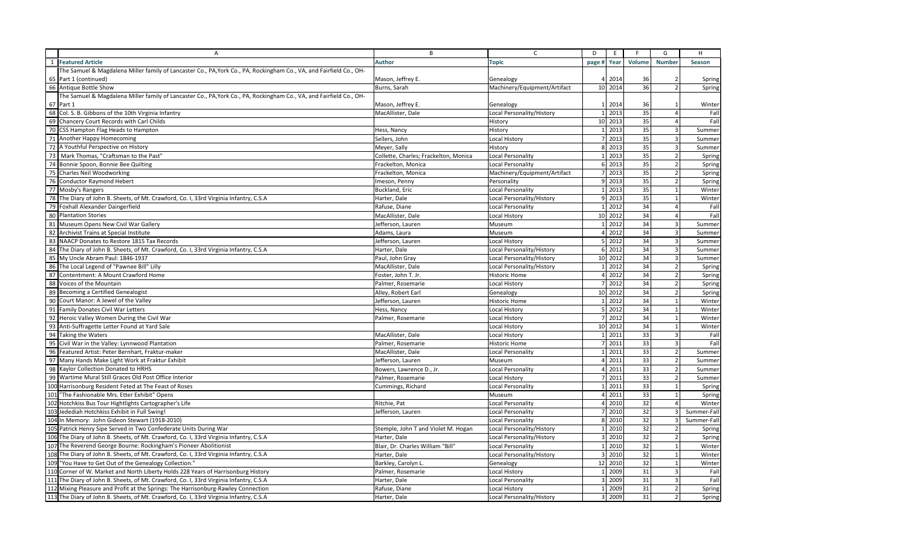|     | А                                                                                                                   | B                                     | $\mathsf{C}$                 | D              | E                   | F.     | G                       | H             |
|-----|---------------------------------------------------------------------------------------------------------------------|---------------------------------------|------------------------------|----------------|---------------------|--------|-------------------------|---------------|
|     | 1 Featured Article                                                                                                  | <b>Author</b>                         | <b>Topic</b>                 | page # Year    |                     | Volume | <b>Number</b>           | <b>Season</b> |
|     | The Samuel & Magdalena Miller family of Lancaster Co., PA, York Co., PA, Rockingham Co., VA, and Fairfield Co., OH- |                                       |                              |                |                     |        |                         |               |
|     | 65 Part 1 (continued)                                                                                               | Mason, Jeffrey E.                     | Genealogy                    |                | 4 2014              | 36     | 2                       | Spring        |
|     | 66 Antique Bottle Show                                                                                              | Burns, Sarah                          | Machinery/Equipment/Artifact |                | 10 2014             | 36     | $\overline{2}$          | Spring        |
|     | The Samuel & Magdalena Miller family of Lancaster Co., PA, York Co., PA, Rockingham Co., VA, and Fairfield Co., OH- |                                       |                              |                |                     |        |                         |               |
|     | 67 Part 1                                                                                                           | Mason, Jeffrey E.                     | Genealogy                    |                | 1 2014              | 36     | $\overline{1}$          | Winter        |
|     | 68 Col. S. B. Gibbons of the 10th Virginia Infantry                                                                 | MacAllister, Dale                     | Local Personality/History    |                | 1 2013              | 35     | $\overline{4}$          | Fall          |
|     | 69 Chancery Court Records with Carl Childs                                                                          |                                       | History                      |                | 10 2013             | 35     | $\overline{4}$          | Fall          |
| 70  | CSS Hampton Flag Heads to Hampton                                                                                   | Hess, Nancy                           | History                      |                | 1 2013              | 35     | $\overline{3}$          | Summer        |
|     | 71 Another Happy Homecoming                                                                                         | Sellers, John                         | Local History                |                | 7 2013              | 35     | $\overline{\mathbf{3}}$ | Summer        |
|     | 72 A Youthful Perspective on History                                                                                | Meyer, Sally                          | History                      |                | 8 2013              | 35     | 3                       | Summer        |
|     | 73 Mark Thomas, "Craftsman to the Past"                                                                             | Collette, Charles; Frackelton, Monica | Local Personality            |                | 1 2013              | 35     | 2                       | Spring        |
|     | 74 Bonnie Spoon, Bonnie Bee Quilting                                                                                | Frackelton, Monica                    | Local Personality            |                | 6 2013              | 35     | $\overline{2}$          | Spring        |
|     | 75 Charles Neil Woodworking                                                                                         | Frackelton, Monica                    | Machinery/Equipment/Artifact | $\overline{7}$ | 2013                | 35     | $\overline{2}$          | Spring        |
|     | 76 Conductor Raymond Hebert                                                                                         | Imeson, Penny                         | Personality                  |                | 9 2013              | 35     | $\overline{2}$          | Spring        |
|     | 77 Mosby's Rangers                                                                                                  | Buckland, Eric                        | Local Personality            |                | 1 2013              | 35     | $\mathbf{1}$            | Winter        |
|     | 78 The Diary of John B. Sheets, of Mt. Crawford, Co. I, 33rd Virginia Infantry, C.S.A                               | Harter, Dale                          | Local Personality/History    |                | 9 2013              | 35     | $\mathbf{1}$            | Winter        |
|     | 79 Foxhall Alexander Daingerfield                                                                                   | Rafuse, Diane                         | Local Personality            |                | 1 2012              | 34     | $\overline{4}$          | Fall          |
|     | 80 Plantation Stories                                                                                               | MacAllister, Dale                     | Local History                |                | 10 2012             | 34     | $\overline{4}$          | Fall          |
|     | 81 Museum Opens New Civil War Gallery                                                                               | Jefferson, Lauren                     | Museum                       |                | 1 2012              | 34     | $\overline{3}$          | Summer        |
|     | 82 Archivist Trains at Special Institute                                                                            | Adams, Laura                          | Museum                       |                | 4 2012              | 34     | 3                       | Summer        |
|     | 83 NAACP Donates to Restore 1815 Tax Records                                                                        | Jefferson, Lauren                     | Local History                |                | 5 2012              | 34     | 3                       | Summer        |
|     | 84 The Diary of John B. Sheets, of Mt. Crawford, Co. I, 33rd Virginia Infantry, C.S.A                               | Harter, Dale                          | Local Personality/History    |                | 6 2012              | 34     | $\overline{\mathbf{3}}$ | Summer        |
|     | 85 My Uncle Abram Paul: 1846-1937                                                                                   | Paul, John Gray                       | Local Personality/History    |                | 10 2012             | 34     | $\overline{\mathbf{3}}$ | Summer        |
|     | 86 The Local Legend of "Pawnee Bill" Lilly                                                                          | MacAllister, Dale                     | Local Personality/History    |                | $1 \overline{2012}$ | 34     | $\overline{2}$          | Spring        |
|     | 87 Contentment: A Mount Crawford Home                                                                               | Foster, John T. Jr.                   | <b>Historic Home</b>         |                | 4 2012              | 34     | $\overline{2}$          | Spring        |
|     | 88 Voices of the Mountain                                                                                           | Palmer, Rosemarie                     | <b>Local History</b>         |                | 7 2012              | 34     | $\overline{2}$          | Spring        |
|     | 89 Becoming a Certified Genealogist                                                                                 | Alley, Robert Earl                    | Genealogy                    |                | 10 2012             | 34     | $\overline{2}$          | Spring        |
|     | 90 Court Manor: A Jewel of the Valley                                                                               | Jefferson, Lauren                     | Historic Home                |                | 1 2012              | 34     | 1                       | Winter        |
|     | 91 Family Donates Civil War Letters                                                                                 | Hess, Nancy                           | Local History                |                | 5 2012              | 34     | $\mathbf{1}$            | Winter        |
|     | 92 Heroic Valley Women During the Civil War                                                                         | Palmer, Rosemarie                     | Local History                |                | 7 2012              | 34     | $\mathbf{1}$            | Winter        |
|     | 93 Anti-Suffragette Letter Found at Yard Sale                                                                       |                                       | Local History                |                | 10 2012             | 34     | $\mathbf{1}$            | Winter        |
|     | 94 Taking the Waters                                                                                                | MacAllister, Dale                     | Local History                |                | 1 2011              | 33     | $\overline{3}$          | Fall          |
|     | 95 Civil War in the Valley: Lynnwood Plantation                                                                     | Palmer, Rosemarie                     | Historic Home                |                | 7 2011              | 33     | $\overline{3}$          | Fall          |
|     | 96 Featured Artist: Peter Bernhart, Fraktur-maker                                                                   | MacAllister, Dale                     | Local Personality            |                | 1 2011              | 33     | $\overline{2}$          | Summer        |
|     | 97 Many Hands Make Light Work at Fraktur Exhibit                                                                    | Jefferson, Lauren                     | Museum                       |                | 4 2011              | 33     | $\overline{2}$          | Summer        |
|     | 98 Kaylor Collection Donated to HRHS                                                                                | Bowers, Lawrence D., Jr.              | Local Personality            |                | 4 2011              | 33     | $\sqrt{2}$              | Summer        |
|     | 99 Wartime Mural Still Graces Old Post Office Interior                                                              | Palmer, Rosemarie                     | Local History                |                | 7 2011              | 33     | $\overline{2}$          | Summer        |
|     | 100 Harrisonburg Resident Feted at The Feast of Roses                                                               | Cummings, Richard                     | Local Personality            |                | 1 2011              | 33     | $\mathbf{1}$            | Spring        |
| 101 | "The Fashionable Mrs. Etter Exhibit" Opens                                                                          |                                       | Museum                       |                | 4 2011              | 33     | $\mathbf{1}$            | Spring        |
|     | 102 Hotchkiss Bus Tour Hightlights Cartographer's Life                                                              | Ritchie, Pat                          | Local Personality            |                | 4 2010              | 32     | $\overline{4}$          | Winter        |
|     | 103 Jedediah Hotchkiss Exhibit in Full Swing!                                                                       | Jefferson, Lauren                     | Local Personality            |                | 7 2010              | 32     | $\overline{\mathbf{3}}$ | Summer-Fal    |
|     | 104 In Memory: John Gideon Stewart (1918-2010)                                                                      |                                       | Local Personality            |                | 8 2010              | 32     | 3                       | Summer-Fall   |
|     | 105 Patrick Henry Sipe Served in Two Confederate Units During War                                                   | Stemple, John T and Violet M. Hogan   | Local Personality/History    | $\mathbf{1}$   | 2010                | 32     | $\overline{2}$          | Spring        |
|     | 106 The Diary of John B. Sheets, of Mt. Crawford, Co. I, 33rd Virginia Infantry, C.S.A                              | Harter, Dale                          | Local Personality/History    |                | 3 2010              | 32     | $\overline{2}$          | Spring        |
|     | 107 The Reverend George Bourne: Rockingham's Pioneer Abolitionist                                                   | Blair, Dr. Charles William "Bill"     | Local Personality            |                | 1 2010              | 32     | $\mathbf{1}$            | Winter        |
|     | 108 The Diary of John B. Sheets, of Mt. Crawford, Co. I, 33rd Virginia Infantry, C.S.A                              | Harter, Dale                          | Local Personality/History    |                | 3 2010              | 32     | $\mathbf{1}$            | Winter        |
|     | 109 "You Have to Get Out of the Genealogy Collection."                                                              | Barkley, Carolyn L.                   | Genealogy                    |                | 12 2010             | 32     | $\mathbf{1}$            | Winter        |
|     | 110 Corner of W. Market and North Liberty Holds 228 Years of Harrisonburg History                                   | Palmer, Rosemarie                     | Local History                | $\mathbf{1}$   | 2009                | 31     | $\overline{3}$          | Fall          |
|     | 111 The Diary of John B. Sheets, of Mt. Crawford, Co. I, 33rd Virginia Infantry, C.S.A                              | Harter, Dale                          | Local Personality            |                | 3 2009              | 31     | $\overline{3}$          | Fall          |
|     | 112 Mixing Pleasure and Profit at the Springs: The Harrisonburg-Rawley Connection                                   | Rafuse, Diane                         | Local History                |                | 1 2009              | 31     | $\overline{2}$          | Spring        |
|     | 113 The Diary of John B. Sheets, of Mt. Crawford, Co. I, 33rd Virginia Infantry, C.S.A                              | Harter, Dale                          | Local Personality/History    |                | 3 2009              | 31     | $\overline{2}$          | Spring        |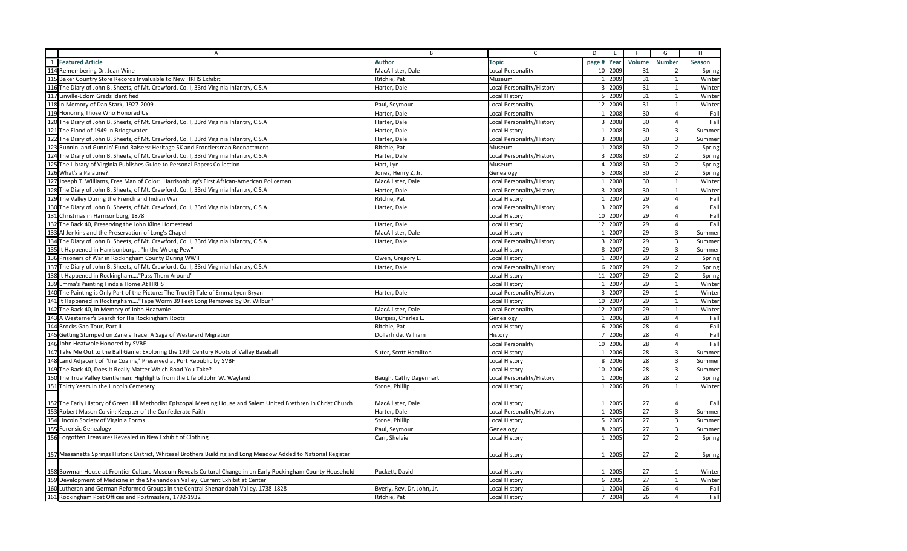|     | $\overline{A}$                                                                                                   | B                          | $\mathsf{C}$              | D                       | E       | F               | G                        | H      |
|-----|------------------------------------------------------------------------------------------------------------------|----------------------------|---------------------------|-------------------------|---------|-----------------|--------------------------|--------|
|     | 1 Featured Article                                                                                               | <b>Author</b>              | <b>Topic</b>              | page #                  | Year    | Volume          | <b>Number</b>            | Season |
|     | 114 Remembering Dr. Jean Wine                                                                                    | MacAllister, Dale          | <b>Local Personality</b>  | 10                      | 2009    | 31              | $\overline{2}$           | Spring |
|     | 115 Baker Country Store Records Invaluable to New HRHS Exhibit                                                   | Ritchie, Pat               | Museum                    |                         | 1 2009  | 31              | $\overline{1}$           | Winter |
|     | 116 The Diary of John B. Sheets, of Mt. Crawford, Co. I, 33rd Virginia Infantry, C.S.A                           | Harter, Dale               | Local Personality/History | $\overline{3}$          | 2009    | 31              | $\overline{1}$           | Winter |
|     | 117 Linville-Edom Grads Identified                                                                               |                            | Local History             | 5                       | 2009    | 31              | $\overline{1}$           | Winter |
|     | 118 In Memory of Dan Stark, 1927-2009                                                                            | Paul, Seymour              | <b>Local Personality</b>  |                         | 12 2009 | 31              | $\overline{1}$           | Winter |
|     | 119 Honoring Those Who Honored Us                                                                                | Harter, Dale               | Local Personality         | $\overline{1}$          | 2008    | 30              | $\overline{a}$           | Fall   |
| 120 | The Diary of John B. Sheets, of Mt. Crawford, Co. I, 33rd Virginia Infantry, C.S.A                               | Harter, Dale               | Local Personality/History | 3 <sup>1</sup>          | 2008    | 30              | $\overline{4}$           | Fall   |
|     | 121 The Flood of 1949 in Bridgewater                                                                             | Harter, Dale               | Local History             | $\mathbf{1}$            | 2008    | 30              | $\overline{3}$           | Summer |
|     | 122 The Diary of John B. Sheets, of Mt. Crawford, Co. I, 33rd Virginia Infantry, C.S.A                           | Harter, Dale               | Local Personality/History | $\overline{\mathbf{3}}$ | 2008    | 30              | $\overline{3}$           | Summer |
|     | 123 Runnin' and Gunnin' Fund-Raisers: Heritage 5K and Frontiersman Reenactment                                   | Ritchie, Pat               | Museum                    | $\overline{1}$          | 2008    | 30              | $\overline{2}$           | Spring |
|     | 124 The Diary of John B. Sheets, of Mt. Crawford, Co. I, 33rd Virginia Infantry, C.S.A                           | Harter, Dale               | Local Personality/History | 3                       | 2008    | 30              | 2 <sup>1</sup>           | Spring |
| 125 | The Library of Virginia Publishes Guide to Personal Papers Collection                                            | Hart, Lyn                  | Museum                    | $\overline{4}$          | 2008    | 30              | $\overline{2}$           | Spring |
|     | 126 What's a Palatine?                                                                                           | Jones, Henry Z, Jr.        | Genealogy                 | 5 <sup>1</sup>          | 2008    | 30              | $\overline{2}$           | Spring |
|     | 127 Joseph T. Williams, Free Man of Color: Harrisonburg's First African-American Policeman                       | MacAllister, Dale          | Local Personality/History | $\mathbf{1}$            | 2008    | 30              | $\overline{1}$           | Winter |
|     | 128 The Diary of John B. Sheets, of Mt. Crawford, Co. I, 33rd Virginia Infantry, C.S.A                           | Harter, Dale               | Local Personality/History |                         | 3 2008  | 30              | $\overline{1}$           | Winter |
|     | 129 The Valley During the French and Indian War                                                                  | Ritchie, Pat               | <b>Local History</b>      | 1                       | 2007    | $\overline{29}$ | $\overline{a}$           | Fal    |
| 130 | The Diary of John B. Sheets, of Mt. Crawford, Co. I, 33rd Virginia Infantry, C.S.A                               | Harter, Dale               | Local Personality/History | 3 <sup>1</sup>          | 2007    | 29              | $\overline{a}$           | Fal    |
|     | 131 Christmas in Harrisonburg, 1878                                                                              |                            | Local History             |                         | 10 2007 | 29              | $\overline{a}$           | Fall   |
|     | 132 The Back 40, Preserving the John Kline Homestead                                                             | Harter, Dale               | <b>Local History</b>      | 12                      | 2007    | 29              | $\Delta$                 | Fall   |
|     | 133 Al Jenkins and the Preservation of Long's Chapel                                                             | MacAllister, Dale          | <b>Local History</b>      |                         | 1 2007  | 29              | $\overline{\mathbf{3}}$  | Summer |
|     | 134 The Diary of John B. Sheets, of Mt. Crawford, Co. I, 33rd Virginia Infantry, C.S.A                           | Harter, Dale               | Local Personality/History | $\overline{\mathbf{3}}$ | 2007    | 29              | 3                        | Summer |
|     | 135 It Happened in Harrisonburg"In the Wrong Pew"                                                                |                            | Local History             |                         | 8 2007  | 29              | 3                        | Summer |
|     | 136 Prisoners of War in Rockingham County During WWII                                                            | Owen, Gregory L.           | <b>Local History</b>      | $\mathbf{1}$            | 2007    | $\overline{29}$ | 2                        | Spring |
| 137 | The Diary of John B. Sheets, of Mt. Crawford, Co. I, 33rd Virginia Infantry, C.S.A                               | Harter, Dale               | Local Personality/History |                         | 6 2007  | 29              | $\overline{2}$           | Spring |
|     | 138 It Happened in Rockingham "Pass Them Around"                                                                 |                            | <b>Local History</b>      | 11                      | 2007    | 29              | $\mathcal{D}$            | Spring |
|     | 139 Emma's Painting Finds a Home At HRHS                                                                         |                            | <b>Local History</b>      | $\mathbf{1}$            | 2007    | 29              | $\overline{1}$           | Winter |
|     | 140 The Painting is Only Part of the Picture: The True(?) Tale of Emma Lyon Bryan                                | Harter, Dale               | Local Personality/History | $\overline{3}$          | 2007    | 29              | 1                        | Winter |
|     | 141 It Happened in Rockingham"Tape Worm 39 Feet Long Removed by Dr. Wilbur"                                      |                            | Local History             | 10                      | 2007    | 29              | 1                        | Winter |
| 142 | The Back 40, In Memory of John Heatwole                                                                          | MacAllister, Dale          | <b>Local Personality</b>  | 12                      | 2007    | 29              | $\mathbf{1}$             | Winter |
|     | 143 A Westerner's Search for His Rockingham Roots                                                                | Burgess, Charles E.        | Genealogy                 | $\mathbf{1}$            | 2006    | 28              | $\Delta$                 | Fall   |
|     | 144 Brocks Gap Tour, Part II                                                                                     | Ritchie, Pat               | <b>Local History</b>      |                         | 6 2006  | 28              | $\Delta$                 | Fall   |
| 145 | Getting Stumped on Zane's Trace: A Saga of Westward Migration                                                    | Dollarhide, William        | History                   | $\overline{7}$          | 2006    | 28              | $\overline{a}$           | Fall   |
|     | 146 John Heatwole Honored by SVBF                                                                                |                            | Local Personality         |                         | 10 2006 | 28              | $\overline{a}$           | Fall   |
| 147 | Take Me Out to the Ball Game: Exploring the 19th Century Roots of Valley Baseball                                | Suter, Scott Hamilton      | Local History             | $\mathbf{1}$            | 2006    | $\overline{28}$ | $\overline{3}$           | Summer |
|     | 148 Land Adjacent of "the Coaling" Preserved at Port Republic by SVBF                                            |                            | Local History             | 8                       | 2006    | 28              | $\overline{3}$           | Summer |
| 149 | The Back 40, Does It Really Matter Which Road You Take?                                                          |                            | <b>Local History</b>      | 10                      | 2006    | 28              | $\overline{3}$           | Summer |
|     | 150 The True Valley Gentleman: Highlights from the Life of John W. Wayland                                       | Baugh, Cathy Dagenhart     | Local Personality/History | $\overline{1}$          | 2006    | 28              | $\overline{\phantom{0}}$ | Spring |
| 151 | Thirty Years in the Lincoln Cemetery                                                                             | Stone, Phillip             | <b>Local History</b>      | $\vert$ 1               | 2006    | 28              | $\overline{1}$           | Winter |
|     |                                                                                                                  |                            |                           |                         |         |                 |                          |        |
|     | 152 The Early History of Green Hill Methodist Episcopal Meeting House and Salem United Brethren in Christ Church | MacAllister, Dale          | Local History             | $\mathbf{1}$            | 2005    | 27              |                          | Fall   |
|     | 153 Robert Mason Colvin: Keepter of the Confederate Faith                                                        | Harter, Dale               | Local Personality/History |                         | 1 2005  | 27              | $\overline{3}$           | Summer |
|     | 154 Lincoln Society of Virginia Forms                                                                            | Stone, Phillip             | <b>Local History</b>      |                         | 5 2005  | 27              | $\overline{3}$           | Summer |
|     | 155 Forensic Genealogy                                                                                           | Paul, Seymour              | Genealogy                 | 8                       | 2005    | 27              | 3                        | Summer |
|     | 156 Forgotten Treasures Revealed in New Exhibit of Clothing                                                      | Carr, Shelvie              | Local History             | $\mathbf{1}$            | 2005    | 27              | 2                        | Spring |
|     |                                                                                                                  |                            |                           |                         |         |                 |                          |        |
|     | 157 Massanetta Springs Historic District, Whitesel Brothers Building and Long Meadow Added to National Register  |                            | <b>Local History</b>      | -1                      | 2005    | 27              | $\overline{2}$           | Spring |
|     |                                                                                                                  |                            |                           |                         |         |                 |                          |        |
|     | 158 Bowman House at Frontier Culture Museum Reveals Cultural Change in an Early Rockingham County Household      | Puckett, David             | Local History             | $\mathbf{1}$            | 2005    | 27              | -1                       | Winter |
|     | 159 Development of Medicine in the Shenandoah Valley, Current Exhibit at Center                                  |                            | <b>Local History</b>      |                         | 6 2005  | 27              | $\overline{1}$           | Winter |
|     | 160 Lutheran and German Reformed Groups in the Central Shenandoah Valley, 1738-1828                              | Byerly, Rev. Dr. John, Jr. | Local History             |                         | 1 2004  | 26              | $\overline{a}$           | Fall   |
|     | 161 Rockingham Post Offices and Postmasters, 1792-1932                                                           | Ritchie, Pat               | Local History             |                         | 7 2004  | 26              | $\vert$                  | Fall   |
|     |                                                                                                                  |                            |                           |                         |         |                 |                          |        |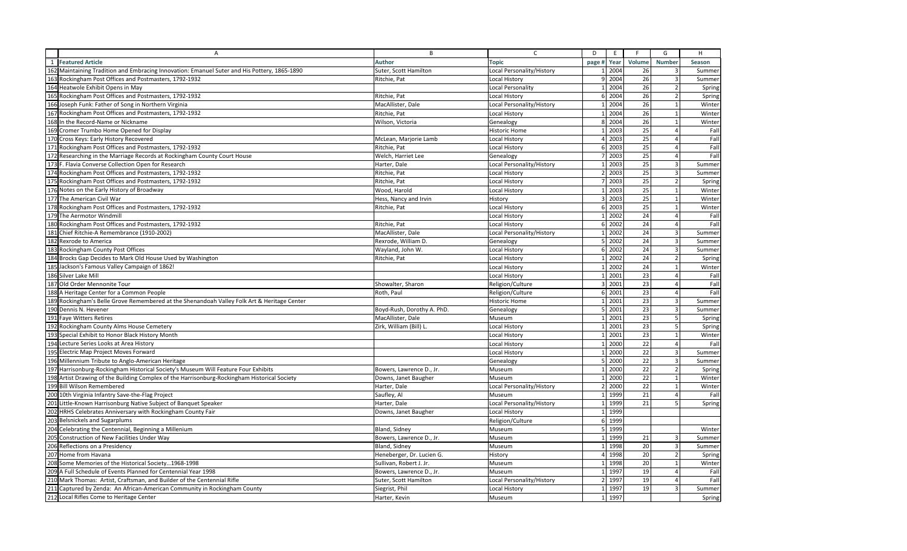|     | A                                                                                            | B                                 | $\mathsf{C}$              | D               | E                   | F.                    | G                       | H      |
|-----|----------------------------------------------------------------------------------------------|-----------------------------------|---------------------------|-----------------|---------------------|-----------------------|-------------------------|--------|
|     | 1 Featured Article                                                                           | <b>Author</b>                     | <b>Topic</b>              | page #          | Year                | Volume                | <b>Number</b>           | Season |
|     | 162 Maintaining Tradition and Embracing Innovation: Emanuel Suter and His Pottery, 1865-1890 | Suter, Scott Hamilton             | Local Personality/History | $\mathbf{1}$    | 2004                | 26                    |                         | Summer |
|     | 163 Rockingham Post Offices and Postmasters, 1792-1932                                       | Ritchie, Pat                      | <b>Local History</b>      |                 | 9 2004              | 26                    | 3                       | Summer |
|     | 164 Heatwole Exhibit Opens in May                                                            |                                   | <b>Local Personality</b>  | $\mathbf{1}$    | 2004                | 26                    | $\overline{2}$          | Spring |
| 165 | Rockingham Post Offices and Postmasters, 1792-1932                                           | Ritchie, Pat                      | Local History             |                 | 6 2004              | 26                    |                         | Spring |
|     | 166 Joseph Funk: Father of Song in Northern Virginia                                         | MacAllister, Dale                 | Local Personality/History |                 | 1 2004              | 26                    |                         | Winter |
|     | 167 Rockingham Post Offices and Postmasters, 1792-1932                                       | Ritchie, Pat                      | <b>Local History</b>      | $\mathbf{1}$    | 2004                | $\overline{26}$       | $\mathbf{1}$            | Winter |
| 168 | In the Record-Name or Nickname                                                               | Wilson, Victoria                  | Genealogy                 |                 | 8 2004              | 26                    | $\overline{1}$          | Winter |
| 169 | Cromer Trumbo Home Opened for Display                                                        |                                   | <b>Historic Home</b>      |                 | 1 2003              | 25                    | $\overline{a}$          | Fall   |
|     | 170 Cross Keys: Early History Recovered                                                      | McLean, Marjorie Lamb             | Local History             |                 | 4 2003              | $\overline{25}$       |                         | Fal    |
|     | 171 Rockingham Post Offices and Postmasters, 1792-1932                                       | Ritchie, Pat                      | Local History             |                 | 6 2003              | 25                    |                         | Fall   |
|     | 172 Researching in the Marriage Records at Rockingham County Court House                     | Welch, Harriet Lee                | Genealogy                 |                 | 7 2003              | 25                    | $\overline{a}$          | Fall   |
|     | 173 F. Flavia Converse Collection Open for Research                                          | Harter, Dale                      | Local Personality/History |                 | 1 2003              | 25                    | $\overline{\mathbf{3}}$ | Summer |
|     | 174 Rockingham Post Offices and Postmasters, 1792-1932                                       | Ritchie, Pat                      | <b>Local History</b>      |                 | 2 2003              | $\overline{25}$       | 3                       | Summer |
|     | 175 Rockingham Post Offices and Postmasters, 1792-1932                                       | Ritchie, Pat                      | <b>Local History</b>      |                 | 7 2003              | 25                    | $\overline{2}$          | Spring |
|     | 176 Notes on the Early History of Broadway                                                   | Wood, Harold                      | <b>Local History</b>      | $\mathbf{1}$    | 2003                | 25                    |                         | Winter |
|     | 177 The American Civil War                                                                   | Hess, Nancy and Irvin             | History                   |                 | 3 2003              | 25                    | $\mathbf{1}$            | Winter |
|     | 178 Rockingham Post Offices and Postmasters, 1792-1932                                       | Ritchie, Pat                      | Local History             |                 | 6 2003              | 25                    | $\overline{1}$          | Winter |
|     | 179 The Aermotor Windmill                                                                    |                                   | Local History             |                 | $1 \overline{2002}$ | 24                    | $\overline{a}$          | Fall   |
|     | 180 Rockingham Post Offices and Postmasters, 1792-1932                                       |                                   | <b>Local History</b>      |                 | 6 2002              | 24                    | $\overline{a}$          | Fal    |
| 181 | Chief Ritchie-A Remembrance (1910-2002)                                                      | Ritchie, Pat<br>MacAllister, Dale | Local Personality/History | $\mathbf{1}$    | 2002                | 24                    |                         | Summer |
|     | 182 Rexrode to America                                                                       |                                   |                           |                 | 5 2002              | 24                    | $\overline{3}$          |        |
|     |                                                                                              | Rexrode, William D.               | Genealogy                 |                 |                     |                       | $\mathbf{3}$            | Summer |
|     | 183 Rockingham County Post Offices                                                           | Wayland, John W.                  | Local History             |                 | 6 2002              | 24<br>$\overline{24}$ |                         | Summer |
|     | 184 Brocks Gap Decides to Mark Old House Used by Washington                                  | Ritchie, Pat                      | Local History             |                 | $1 \overline{2002}$ |                       | $\overline{2}$          | Spring |
|     | 185 Jackson's Famous Valley Campaign of 1862!                                                |                                   | Local History             |                 | 1 2002              | 24                    | 1                       | Winter |
|     | 186 Silver Lake Mill                                                                         |                                   | <b>Local History</b>      | $\mathbf{1}$    | 2001                | 23                    |                         | Fall   |
|     | 187 Old Order Mennonite Tour                                                                 | Showalter, Sharon                 | Religion/Culture          |                 | 3 2001              | 23                    | $\Delta$                | Fal    |
|     | 188 A Heritage Center for a Common People                                                    | Roth, Paul                        | Religion/Culture          |                 | 6 2001              | 23                    | $\Delta$                | Fall   |
|     | 189 Rockingham's Belle Grove Remembered at the Shenandoah Valley Folk Art & Heritage Center  |                                   | <b>Historic Home</b>      | $\mathbf{1}$    | 2001                | $\overline{23}$       | $\mathbf{3}$            | Summer |
|     | 190 Dennis N. Hevener                                                                        | Boyd-Rush, Dorothy A. PhD.        | Genealogy                 |                 | 5 2001              | 23                    | $\overline{3}$          | Summer |
|     | 191 Faye Witters Retires                                                                     | MacAllister, Dale                 | Museum                    | $\mathbf{1}$    | 2001                | $\overline{23}$       | 5                       | Spring |
|     | 192 Rockingham County Alms House Cemetery                                                    | Zirk, William (Bill) L            | Local History             | $\mathbf{1}$    | 2001                | 23                    | 5                       | Spring |
|     | 193 Special Exhibit to Honor Black History Month                                             |                                   | Local History             |                 | 1 2001              | 23                    | $\mathbf{1}$            | Winter |
|     | 194 Lecture Series Looks at Area History                                                     |                                   | Local History             |                 | 1 2000              | $\overline{22}$       | $\overline{a}$          | Fal    |
|     | 195 Electric Map Project Moves Forward                                                       |                                   | Local History             |                 | 1 2000              | 22                    | 3                       | Summer |
|     | 196 Millennium Tribute to Anglo-American Heritage                                            |                                   | Genealogy                 |                 | 5 2000              | 22                    | $\overline{3}$          | Summer |
|     | 197 Harrisonburg-Rockingham Historical Society's Museum Will Feature Four Exhibits           | Bowers, Lawrence D., Jr.          | Museum                    | $\mathbf{1}$    | 2000                | 22                    |                         | Spring |
|     | 198 Artist Drawing of the Building Complex of the Harrisonburg-Rockingham Historical Society | Downs, Janet Baugher              | Museum                    | $\mathbf{1}$    | 2000                | 22                    | $\overline{1}$          | Winter |
|     | 199 Bill Wilson Remembered                                                                   | Harter, Dale                      | Local Personality/History |                 | 2 2000              | 22                    | $\mathbf{1}$            | Winter |
|     | 200 10th Virginia Infantry Save-the-Flag Project                                             | Saufley, Al                       | Museum                    | $\mathbf{1}$    | 1999                | 21                    | $\overline{a}$          | Fall   |
|     | 201 Little-Known Harrisonburg Native Subject of Banquet Speaker                              | Harter, Dale                      | Local Personality/History |                 | 1 1999              | 21                    | 5                       | Spring |
|     | 202 HRHS Celebrates Anniversary with Rockingham County Fair                                  | Downs, Janet Baugher              | <b>Local History</b>      | $1\overline{ }$ | 1999                |                       |                         |        |
|     | 203 Belsnickels and Sugarplums                                                               |                                   | Religion/Culture          |                 | 6 1999              |                       |                         |        |
|     | 204 Celebrating the Centennial, Beginning a Millenium                                        | Bland, Sidney                     | Museum                    |                 | 5 1999              |                       |                         | Winter |
|     | 205 Construction of New Facilities Under Way                                                 | Bowers, Lawrence D., Jr.          | Museum                    |                 | 1 1999              | 21                    | 3                       | Summer |
|     | 206 Reflections on a Presidency                                                              | Bland, Sidney                     | Museum                    | $\mathbf{1}$    | 1998                | 20                    | 3                       | Summer |
|     | 207 Home from Havana                                                                         | Heneberger, Dr. Lucien G.         | History                   | $\overline{4}$  | 1998                | 20                    | $\overline{2}$          | Spring |
|     | 208 Some Memories of the Historical Society1968-1998                                         | Sullivan, Robert J. Jr.           | Museum                    | $\mathbf{1}$    | 1998                | 20                    |                         | Winter |
|     | 209 A Full Schedule of Events Planned for Centennial Year 1998                               | Bowers, Lawrence D., Jr.          | Museum                    | $\mathbf{1}$    | 1997                | 19                    | $\Delta$                | Fal    |
|     | 210 Mark Thomas: Artist, Craftsman, and Builder of the Centennial Rifle                      | Suter, Scott Hamilton             | Local Personality/History | $\overline{2}$  | 1997                | 19                    | $\overline{a}$          | Fall   |
|     | 211 Captured by Zenda: An African-American Community in Rockingham County                    | Siegrist, Phil                    | Local History             |                 | 1 1997              | 19                    | $\overline{3}$          | Summer |
|     | 212 Local Rifles Come to Heritage Center                                                     | Harter, Kevin                     | Museum                    |                 | 1 1997              |                       |                         | Spring |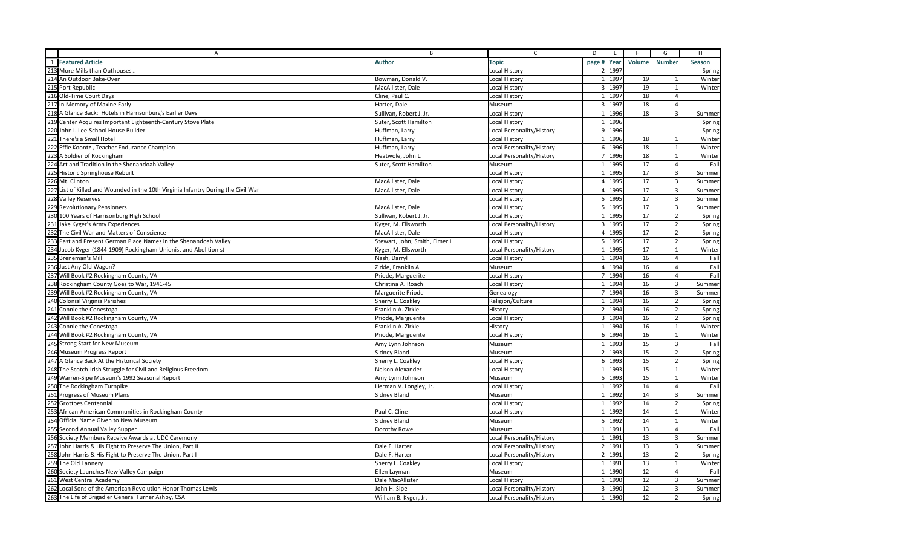|     | A                                                                                 | B                              | $\mathsf C$               | D                | E           | F      | G                       | H      |
|-----|-----------------------------------------------------------------------------------|--------------------------------|---------------------------|------------------|-------------|--------|-------------------------|--------|
| 1   | <b>Featured Article</b>                                                           | <b>Author</b>                  | Topic                     |                  | page # Year | Volume | <b>Number</b>           | Season |
|     | 213 More Mills than Outhouses                                                     |                                | Local History             |                  | 2 1997      |        |                         | Spring |
|     | 214 An Outdoor Bake-Oven                                                          | Bowman, Donald V.              | Local History             |                  | 1 1997      | 19     |                         | Winter |
|     | 215 Port Republic                                                                 | MacAllister, Dale              | Local History             |                  | 3 1997      | 19     | $\overline{1}$          | Winter |
|     | 216 Old-Time Court Days                                                           | Cline, Paul C.                 | Local History             | $\mathbf{1}$     | 1997        | 18     | $\overline{a}$          |        |
|     | 217 In Memory of Maxine Early                                                     | Harter, Dale                   | Museum                    |                  | 3 1997      | 18     | $\overline{a}$          |        |
|     | 218 A Glance Back: Hotels in Harrisonburg's Earlier Days                          | Sullivan, Robert J. Jr.        | Local History             |                  | 1 1996      | 18     | $\overline{3}$          | Summer |
|     | 219 Center Acquires Important Eighteenth-Century Stove Plate                      | Suter, Scott Hamilton          | Local History             | $\mathbf{1}$     | 1996        |        |                         | Spring |
|     | 220 John I. Lee-School House Builder                                              | Huffman, Larry                 | Local Personality/History |                  | 9 1996      |        |                         | Spring |
|     | 221 There's a Small Hotel                                                         | Huffman, Larry                 | Local History             | $\mathbf{1}$     | 1996        | 18     | 1                       | Winter |
|     | 222 Effie Koontz, Teacher Endurance Champion                                      | Huffman, Larry                 | Local Personality/History |                  | 6 1996      | 18     | $\overline{1}$          | Winter |
|     | 223 A Soldier of Rockingham                                                       | Heatwole, John L               | Local Personality/History | 7 <sup>1</sup>   | 1996        | 18     | $\mathbf{1}$            | Winter |
|     | 224 Art and Tradition in the Shenandoah Valley                                    | Suter, Scott Hamilton          | Museum                    | $\mathbf{1}$     | 1995        | 17     | $\overline{4}$          | Fall   |
|     | 225 Historic Springhouse Rebuilt                                                  |                                | Local History             | $\mathbf{1}$     | 1995        | 17     | $\overline{3}$          | Summer |
|     | 226 Mt. Clinton                                                                   | MacAllister, Dale              | Local History             | $\overline{4}$   | 1995        | 17     | $\overline{3}$          | Summer |
|     | 227 List of Killed and Wounded in the 10th Virginia Infantry During the Civil War | MacAllister, Dale              | Local History             | $\overline{4}$   | 1995        | 17     | $\overline{3}$          | Summer |
|     | 228 Valley Reserves                                                               |                                | Local History             |                  | 5 1995      | 17     | $\overline{\mathbf{3}}$ | Summer |
|     | 229 Revolutionary Pensioners                                                      | MacAllister, Dale              | Local History             | 5                | 1995        | 17     | $\overline{\mathbf{3}}$ | Summer |
|     | 230 100 Years of Harrisonburg High School                                         | Sullivan, Robert J. Jr         | Local History             | $\mathbf{1}$     | 1995        | 17     | $\overline{2}$          | Spring |
|     | 231 Jake Kyger's Army Experiences                                                 | Kyger, M. Ellsworth            | Local Personality/History | 3                | 1995        | 17     | $\overline{2}$          | Spring |
|     | 232 The Civil War and Matters of Conscience                                       | MacAllister, Dale              | Local History             | $\overline{4}$   | 1995        | 17     | $\overline{2}$          | Spring |
|     | 233 Past and Present German Place Names in the Shenandoah Valley                  | Stewart, John; Smith, Elmer L. | Local History             | 5                | 1995        | 17     | $\overline{2}$          | Spring |
|     | 234 Jacob Kyger (1844-1909) Rockingham Unionist and Abolitionist                  | Kyger, M. Ellsworth            | Local Personality/History | $\mathbf{1}$     | 1995        | 17     | $\mathbf{1}$            | Winter |
|     | 235 Breneman's Mill                                                               | Nash, Darryl                   | Local History             | 1                | 1994        | 16     | $\overline{4}$          | Fall   |
|     | 236 Just Any Old Wagon?                                                           | Zirkle, Franklin A.            | Museum                    |                  | 4 1994      | 16     | $\overline{4}$          | Fall   |
|     | 237 Will Book #2 Rockingham County, VA                                            | Priode, Marguerite             | Local History             |                  | 7 1994      | 16     | $\overline{a}$          | Fall   |
|     | 238 Rockingham County Goes to War, 1941-45                                        | Christina A. Roach             | Local History             |                  | 1 1994      | 16     | $\overline{3}$          | Summer |
|     | 239 Will Book #2 Rockingham County, VA                                            | Marguerite Priode              | Genealogy                 |                  | 7 1994      | 16     | $\overline{\mathbf{3}}$ | Summer |
|     | 240 Colonial Virginia Parishes                                                    | Sherry L. Coakley              | Religion/Culture          | $\mathbf{1}$     | 1994        | 16     | $\overline{2}$          | Spring |
|     | 241 Connie the Conestoga                                                          | Franklin A. Zirkle             | History                   |                  | 2 1994      | 16     | $\overline{2}$          | Spring |
|     | 242 Will Book #2 Rockingham County, VA                                            | Priode, Marguerite             | Local History             | $\overline{3}$   | 1994        | 16     | $\overline{2}$          | Spring |
|     | 243 Connie the Conestoga                                                          | Franklin A. Zirkle             | History                   | $\mathbf{1}$     | 1994        | 16     | $\mathbf{1}$            | Winter |
|     | 244 Will Book #2 Rockingham County, VA                                            | Priode, Marguerite             | Local History             |                  | 6 1994      | 16     | $\overline{1}$          | Winter |
|     | 245 Strong Start for New Museum                                                   | Amy Lynn Johnson               | Museum                    | $\mathbf{1}$     | 1993        | 15     | $\overline{3}$          | Fall   |
|     | 246 Museum Progress Report                                                        | Sidney Bland                   | Museum                    | $2 \overline{ }$ | 1993        | 15     | $\overline{2}$          | Spring |
|     | 247 A Glance Back At the Historical Society                                       | Sherry L. Coakley              | Local History             | $6 \overline{6}$ | 1993        | 15     | $\overline{2}$          | Spring |
| 248 | The Scotch-Irish Struggle for Civil and Religious Freedom                         | Nelson Alexander               | Local History             | $\mathbf{1}$     | 1993        | 15     | $\overline{1}$          | Winter |
|     | 249 Warren-Sipe Museum's 1992 Seasonal Report                                     | Amy Lynn Johnson               | Museum                    |                  | 5 1993      | 15     | $\mathbf{1}$            | Winter |
|     | 250 The Rockingham Turnpike                                                       | Herman V. Longley, Jr.         | Local History             | $\mathbf{1}$     | 1992        | 14     | $\overline{4}$          | Fal    |
|     | 251 Progress of Museum Plans                                                      | Sidney Bland                   | Museum                    | $\mathbf{1}$     | 1992        | 14     | $\overline{\mathbf{3}}$ | Summer |
|     | 252 Grottoes Centennial                                                           |                                | Local History             |                  | 1 1992      | 14     | $\overline{2}$          | Spring |
|     | African-American Communities in Rockingham County                                 | Paul C. Cline                  | Local History             | $\mathbf{1}$     | 1992        | 14     | $\mathbf{1}$            | Winter |
|     | <b>Official Name Given to New Museum</b>                                          | Sidney Bland                   | Museum                    | 5                | 1992        | 14     | $\overline{1}$          | Winter |
|     | 255 Second Annual Valley Supper                                                   | Dorothy Rowe                   | Museum                    | $\mathbf{1}$     | 1991        | 13     | $\overline{a}$          | Fal    |
|     | 256 Society Members Receive Awards at UDC Ceremony                                |                                | Local Personality/History | $\mathbf{1}$     | 1991        | 13     | $\overline{\mathbf{3}}$ | Summer |
|     | 257 John Harris & His Fight to Preserve The Union, Part II                        | Dale F. Harter                 | Local Personality/History | $\overline{2}$   | 1991        | 13     | $\overline{3}$          | Summer |
|     | 258 John Harris & His Fight to Preserve The Union, Part I                         | Dale F. Harter                 | Local Personality/History | $\overline{2}$   | 1991        | 13     | $\overline{2}$          | Spring |
|     | 259 The Old Tannery                                                               | Sherry L. Coakley              | Local History             | $\mathbf{1}$     | 1991        | 13     | $\overline{1}$          | Winter |
|     | 260 Society Launches New Valley Campaign                                          | Ellen Layman                   | Museum                    | $\mathbf{1}$     | 1990        | 12     | $\overline{4}$          | Fall   |
|     | 261 West Central Academy                                                          | Dale MacAllister               | Local History             | $\mathbf{1}$     | 1990        | 12     | $\overline{3}$          | Summer |
|     | 262 Local Sons of the American Revolution Honor Thomas Lewis                      | John H. Sipe                   | Local Personality/History |                  | 3 1990      | 12     | $\overline{3}$          | Summer |
|     | 263 The Life of Brigadier General Turner Ashby, CSA                               | William B. Kyger, Jr.          | Local Personality/History |                  | 1 1990      | 12     | $\overline{2}$          | Spring |
|     |                                                                                   |                                |                           |                  |             |        |                         |        |